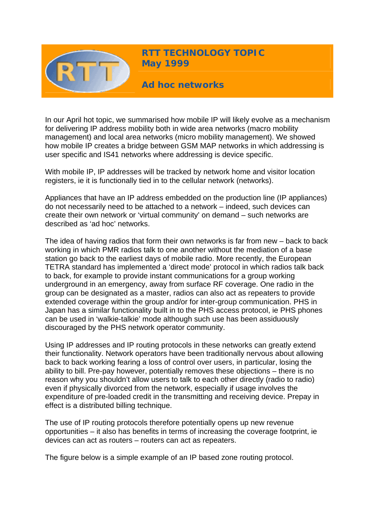

**RTT TECHNOLOGY TOPIC May 1999** 

**Ad hoc networks** 

In our April hot topic, we summarised how mobile IP will likely evolve as a mechanism for delivering IP address mobility both in wide area networks (macro mobility management) and local area networks (micro mobility management). We showed how mobile IP creates a bridge between GSM MAP networks in which addressing is user specific and IS41 networks where addressing is device specific.

With mobile IP, IP addresses will be tracked by network home and visitor location registers, ie it is functionally tied in to the cellular network (networks).

Appliances that have an IP address embedded on the production line (IP appliances) do not necessarily need to be attached to a network – indeed, such devices can create their own network or 'virtual community' on demand – such networks are described as 'ad hoc' networks.

The idea of having radios that form their own networks is far from new – back to back working in which PMR radios talk to one another without the mediation of a base station go back to the earliest days of mobile radio. More recently, the European TETRA standard has implemented a 'direct mode' protocol in which radios talk back to back, for example to provide instant communications for a group working underground in an emergency, away from surface RF coverage. One radio in the group can be designated as a master, radios can also act as repeaters to provide extended coverage within the group and/or for inter-group communication. PHS in Japan has a similar functionality built in to the PHS access protocol, ie PHS phones can be used in 'walkie-talkie' mode although such use has been assiduously discouraged by the PHS network operator community.

Using IP addresses and IP routing protocols in these networks can greatly extend their functionality. Network operators have been traditionally nervous about allowing back to back working fearing a loss of control over users, in particular, losing the ability to bill. Pre-pay however, potentially removes these objections – there is no reason why you shouldn't allow users to talk to each other directly (radio to radio) even if physically divorced from the network, especially if usage involves the expenditure of pre-loaded credit in the transmitting and receiving device. Prepay in effect is a distributed billing technique.

The use of IP routing protocols therefore potentially opens up new revenue opportunities – it also has benefits in terms of increasing the coverage footprint, ie devices can act as routers – routers can act as repeaters.

The figure below is a simple example of an IP based zone routing protocol.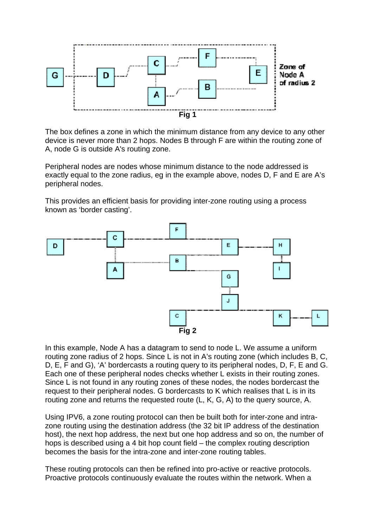

The box defines a zone in which the minimum distance from any device to any other device is never more than 2 hops. Nodes B through F are within the routing zone of A, node G is outside A's routing zone.

Peripheral nodes are nodes whose minimum distance to the node addressed is exactly equal to the zone radius, eg in the example above, nodes D, F and E are A's peripheral nodes.

This provides an efficient basis for providing inter-zone routing using a process known as 'border casting'.



In this example, Node A has a datagram to send to node L. We assume a uniform routing zone radius of 2 hops. Since L is not in A's routing zone (which includes B, C, D, E, F and G), 'A' bordercasts a routing query to its peripheral nodes, D, F, E and G. Each one of these peripheral nodes checks whether L exists in their routing zones. Since L is not found in any routing zones of these nodes, the nodes bordercast the request to their peripheral nodes. G bordercasts to K which realises that L is in its routing zone and returns the requested route (L, K, G, A) to the query source, A.

Using IPV6, a zone routing protocol can then be built both for inter-zone and intrazone routing using the destination address (the 32 bit IP address of the destination host), the next hop address, the next but one hop address and so on, the number of hops is described using a 4 bit hop count field – the complex routing description becomes the basis for the intra-zone and inter-zone routing tables.

These routing protocols can then be refined into pro-active or reactive protocols. Proactive protocols continuously evaluate the routes within the network. When a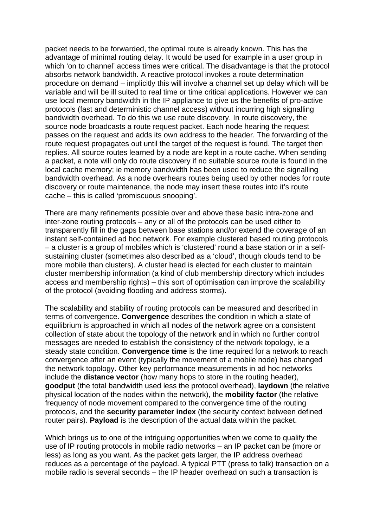packet needs to be forwarded, the optimal route is already known. This has the advantage of minimal routing delay. It would be used for example in a user group in which 'on to channel' access times were critical. The disadvantage is that the protocol absorbs network bandwidth. A reactive protocol invokes a route determination procedure on demand – implicitly this will involve a channel set up delay which will be variable and will be ill suited to real time or time critical applications. However we can use local memory bandwidth in the IP appliance to give us the benefits of pro-active protocols (fast and deterministic channel access) without incurring high signalling bandwidth overhead. To do this we use route discovery. In route discovery, the source node broadcasts a route request packet. Each node hearing the request passes on the request and adds its own address to the header. The forwarding of the route request propagates out until the target of the request is found. The target then replies. All source routes learned by a node are kept in a route cache. When sending a packet, a note will only do route discovery if no suitable source route is found in the local cache memory; ie memory bandwidth has been used to reduce the signalling bandwidth overhead. As a node overhears routes being used by other nodes for route discovery or route maintenance, the node may insert these routes into it's route cache – this is called 'promiscuous snooping'.

There are many refinements possible over and above these basic intra-zone and inter-zone routing protocols – any or all of the protocols can be used either to transparently fill in the gaps between base stations and/or extend the coverage of an instant self-contained ad hoc network. For example clustered based routing protocols – a cluster is a group of mobiles which is 'clustered' round a base station or in a selfsustaining cluster (sometimes also described as a 'cloud', though clouds tend to be more mobile than clusters). A cluster head is elected for each cluster to maintain cluster membership information (a kind of club membership directory which includes access and membership rights) – this sort of optimisation can improve the scalability of the protocol (avoiding flooding and address storms).

The scalability and stability of routing protocols can be measured and described in terms of convergence. **Convergence** describes the condition in which a state of equilibrium is approached in which all nodes of the network agree on a consistent collection of state about the topology of the network and in which no further control messages are needed to establish the consistency of the network topology, ie a steady state condition. **Convergence time** is the time required for a network to reach convergence after an event (typically the movement of a mobile node) has changed the network topology. Other key performance measurements in ad hoc networks include the **distance vector** (how many hops to store in the routing header), **goodput** (the total bandwidth used less the protocol overhead), **laydown** (the relative physical location of the nodes within the network), the **mobility factor** (the relative frequency of node movement compared to the convergence time of the routing protocols, and the **security parameter index** (the security context between defined router pairs). **Payload** is the description of the actual data within the packet.

Which brings us to one of the intriguing opportunities when we come to qualify the use of IP routing protocols in mobile radio networks – an IP packet can be (more or less) as long as you want. As the packet gets larger, the IP address overhead reduces as a percentage of the payload. A typical PTT (press to talk) transaction on a mobile radio is several seconds – the IP header overhead on such a transaction is